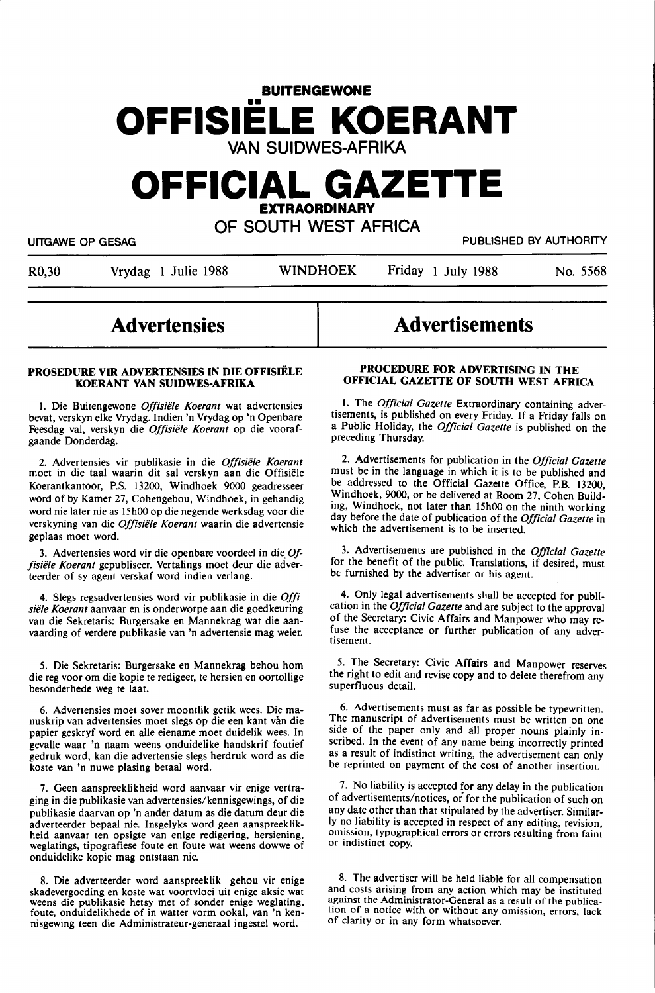# **BUITENGEWONE**  •• **OFFISIELE KOERANT VAN SUIDWES-AFRIKA**

# **OFFICIAL GAZETTE EXTRAORDINARY**

**OF SOUTH WEST AFRICA** 

UITGAWE OP GESAG PUBLISHED BY AUTHORITY

R0,30 Vrydag 1 Julie 1988 WINDHOEK Friday 1 July 1988 No. 5568

# **Advertensies**

#### **PROSEDURE VIR ADVERTENSIES IN DIE OFFISIELE KOERANT VAN SUIDWES-AFRIKA**

I. Die Buitengewone *Offisiele Koerant* wat advertensies bevat, verskyn elke Vrydag. Indien 'n Vrydag op 'n Openbare Feesdag val, verskyn die *Offisiele Koerant* op die voorafgaande Donderdag.

2. Advertensies vir publikasie in die *Offisiele Koerant*  moet in die taal waarin dit sal verskyn aan die Offisiele Koerantkantoor, P.S. 13200, Windhoek 9000 geadresseer word of by Kamer 27, Cohengebou, Windhoek, in gehandig word nie later nie as 15h00 op die negende werksdag voor die verskyning van die *Offisiele Koerant* waarin die advertensie geplaas moet word.

3. Advertensies word vir die openbare voordeel in die. *Offisiele Koerant* gepubliseer. Vertalings moet deur die adverteerder of sy agent verskaf word indien verlang.

4. Slegs regsadvertensies word vir publikasie in die *Offisiele Koerant* aanvaar en is onderworpe aan die goedkeuring van die Sekretaris: Burgersake en Mannekrag wat die aanvaarding of verdere publikasie van 'n advertensie mag weier.

5. Die Sekretaris: Burgersake en Mannekrag behou hom die reg voor om die kopie te redigeer, te hersien en oortollige besonderhede weg te Iaat.

6. Advertensies moet sover moontlik getik wees. Die manuskrip van advertensies moet slegs op die een kant van die papier geskryf word en alle eiename moet duidelik wees. In gevalle waar 'n naam weens onduidelike handskrif foutief gedruk word, kan die advertensie slegs herdruk word as die koste van 'n nuwe plasing betaal word.

7. Geen aanspreeklikheid word aanvaar vir enige vertraging in die publikasie van advertensies/kennisgewings, of die publikasie daarvan op 'n ander datum as die datum deur die adverteerder bepaal nie. Insgelyks word geen aanspreeklikheid aanvaar ten opsigte van enige redigering, hersiening, weglatings, tipografiese foute en foute wat weens dowwe of onduidelike kopie mag ontstaan nie.

8. Die adverteerder word aanspreeklik gehou vir enige skadevergoeding en koste wat voortvloei uit enige aksie wat weens die publikasie hetsy met of sonder enige weglating, foute, onduidelikhede of in watter vorm ookal, van 'n kennisgewing teen die Administrateur-generaal ingestel word.

# **Advertisements**

#### **PROCEDURE FOR ADVERTISING IN THE OFFICIAL GAZETTE OF SOUTH WEST AFRICA**

1. The *Official Gazette* Extraordinary containing advertisements, is published on every Friday. If a Friday falls on a Public Holiday, the *Official Gazette* is published on the preceding Thursday.

2. Advertisements for publication in the *Official Gazette*  must be in the language in which it is to be published and be addressed to the Official Gazette Office, P.B. 13200, Windhoek, 9000, or be delivered at Room 27, Cohen Building, Windhoek, not later than 15h00 on the ninth working day before the date of publication of the *Official Gazette* in which the advertisement is to be inserted.

3. Advertisements are published in the *Official Gazette*  for the benefit of the public. Translations, if desired, must be furnished by the advertiser or his agent.

4. Only legal advertisements shall be accepted for publication in the *Official Gazette* and are subject to the approval of the Secretary: Civic Affairs and Manpower who may refuse the acceptance or further publication of any advertisement.

5. The Secretary: Civic Affairs and Manpower reserves the right to edit and revise copy and to delete therefrom any superfluous detail.

6. Advertisements must as far as possible be typewritten. The manuscript of advertisements must be written on one side of the paper only and all proper nouns plainly inscribed. In the event of any name being incorrectly printed as a result of indistinct writing, the advertisement can only be reprinted on payment of the cost of another insertion.

7. No liability is accepted for any delay in the publication of advertisements/notices, or for the publication of such on any date other than that stipulated by the advertiser. Similarly no liability is accepted in respect of any editing, revision, omission, typographical errors or errors resulting from faint or indistinct copy.

8. The advertiser will be held liable for all compensation and costs arising from any action which may be instituted against the Administrator-General as a result of the publication of a notice with or without any omission, errors, lack of clarity or in any form whatsoever.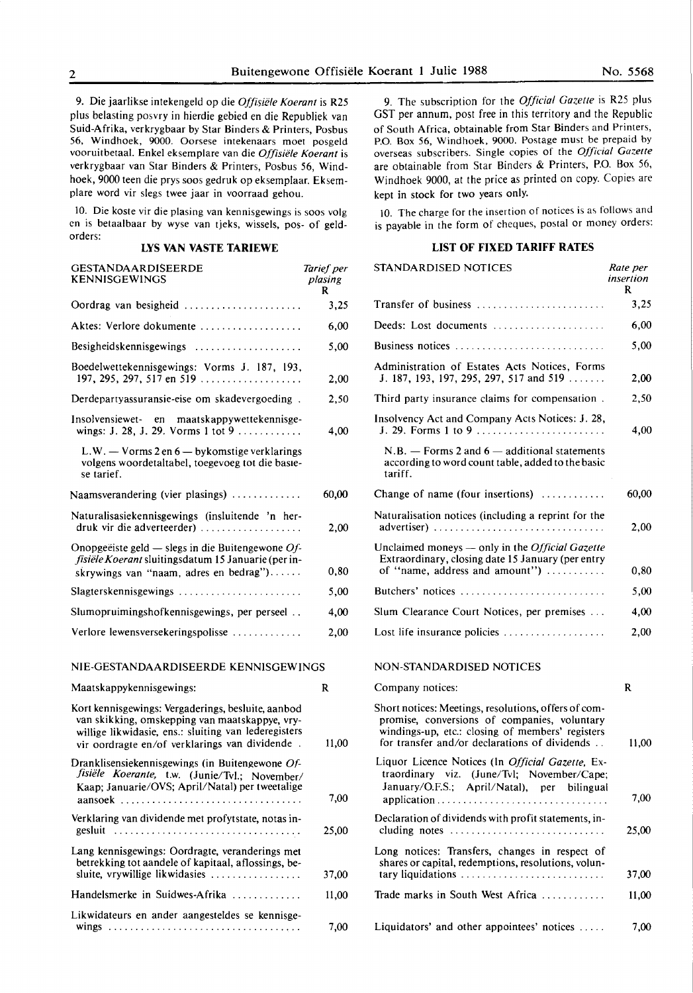9. Die jaarlikse intekengeld op die *Offisiide Koerant* is R25 plus belasting posvry in hierdie gebied en die Republiek van Suid-Afrika, verkrygbaar by Star Binders & Printers, Posbus 56, Windhoek, 9000. Oorsese intekenaars moet posgeld vooruitbetaal. Enke! eksemplare van die *Offisiele Koerant* is verkrygbaar van Star Binders & Printers, Posbus 56, Windhoek, 9000 teen die prys soos gedruk op eksemplaar. Eksemplare word vir slegs twee jaar in voorraad gehou.

10. Die koste vir die plasing van kennisgewings is soos volg en is betaalbaar by wyse van tjeks, wissels, pos- of geldorders:

#### **LYS VAN VASTE TARIEWE**

| GESTANDAARDISEERDE<br><b>KENNISGEWINGS</b>                                                                                                                                                                     | Tarief per<br>plasing<br>R |
|----------------------------------------------------------------------------------------------------------------------------------------------------------------------------------------------------------------|----------------------------|
|                                                                                                                                                                                                                | 3,25                       |
| Aktes: Verlore dokumente                                                                                                                                                                                       | 6,00                       |
| <b>Besigheidskennisgewings</b><br>.                                                                                                                                                                            | 5,00                       |
| Boedelwettekennisgewings: Vorms J. 187, 193,<br>197, 295, 297, 517 en 519                                                                                                                                      | 2,00                       |
| Derdepartyassuransie-eise om skadevergoeding.                                                                                                                                                                  | 2.50                       |
| Insolvensiewet- en maatskappywettekennisge-<br>wings: J. 28, J. 29. Vorms 1 tot 9                                                                                                                              | 4,00                       |
| L.W. - Vorms 2 en 6 - bykomstige verklarings<br>volgens woordetaltabel, toegevoeg tot die basie-<br>se tarief.                                                                                                 |                            |
| Naamsverandering (vier plasings) $\dots\dots\dots\dots$                                                                                                                                                        | 60,00                      |
| Naturalisasiekennisgewings (insluitende 'n her-<br>druk vir die adverteerder)                                                                                                                                  | 2,00                       |
| Onopgeëiste geld — slegs in die Buitengewone $Of$ -<br>fisiële Koerant sluitingsdatum 15 Januarie (per in-<br>skrywings van "naam, adres en bedrag")                                                           | 0,80                       |
| Slagterskennisgewings                                                                                                                                                                                          | 5,00                       |
| Slumopruimingshofkennisgewings, per perseel                                                                                                                                                                    | 4,00                       |
| Verlore lewensversekeringspolisse                                                                                                                                                                              | 2.00                       |
| NIE-GESTANDAARDISEERDE KENNISGEWINGS                                                                                                                                                                           |                            |
| Maatskappykennisgewings:                                                                                                                                                                                       | R                          |
| Kort kennisgewings: Vergaderings, besluite, aanbod<br>van skikking, omskepping van maatskappye, vry-<br>willige likwidasie, ens.: sluiting van lederegisters<br>vir oordragte en/of verklarings van dividende. | 11,00                      |
| Dranklisensiekennisgewings (in Buitengewone Of-<br>fisiële Koerante, t.w. (Junie/Tvl.; November/<br>Kaap; Januarie/OVS; April/Natal) per tweetalige<br>aansoek $\ldots \ldots \ldots$                          | 7,00                       |
| Verklaring van dividende met profytstate, notas in-<br>gesluit                                                                                                                                                 | 25,00                      |
| Lang kennisgewings: Oordragte, veranderings met                                                                                                                                                                |                            |

betrekking tot aandele of kapitaal, aflossings, besluite, vrywillige likwidasies ................... Handelsmerke in Suidwes-Afrika .............

37,00 11,00

7,00

Likwidateurs en ander aangesteldes se kennisgewings ................................... .

9. The subscription for the *Official Gazelle* is R25 plus GST per annum, post free in this territory and the Republic of South Africa, obtainable from Star Binders and Printers, P.O. Box 56, Windhoek, 9000. Postage must be prepaid by overseas subscribers. Single copies of the *Official Gazette*  are obtainable from Star Binders & Printers, P.O. Box 56, Windhoek 9000, at the price as printed on copy. Copies are kept in stock for two years only.

JO. The charge for the insertion of notices is as follows and is payable in the form of cheques, postal or money orders:

#### **LIST OF FIXED TARIFF RATES**

STANDARDISED NOTICES

| STANDARDISED NOTICES                                                                                                                                                                                      | Rate per<br>insertion<br>R |
|-----------------------------------------------------------------------------------------------------------------------------------------------------------------------------------------------------------|----------------------------|
| Transfer of business                                                                                                                                                                                      | 3,25                       |
| Deeds: Lost documents                                                                                                                                                                                     | 6,00                       |
| Business notices                                                                                                                                                                                          | 5,00                       |
| Administration of Estates Acts Notices, Forms<br>J. 187, 193, 197, 295, 297, 517 and 519                                                                                                                  | 2,00                       |
| Third party insurance claims for compensation.                                                                                                                                                            | 2,50                       |
| Insolvency Act and Company Acts Notices: J. 28,<br>J. 29. Forms 1 to 9                                                                                                                                    | 4,00                       |
| $N.B.$ – Forms 2 and $6$ – additional statements<br>according to word count table, added to the basic<br>tariff.                                                                                          |                            |
| Change of name (four insertions)                                                                                                                                                                          | 60,00                      |
| Naturalisation notices (including a reprint for the<br>$advertiser)$                                                                                                                                      | 2,00                       |
| Unclaimed moneys — only in the <i>Official Gazette</i><br>Extraordinary, closing date 15 January (per entry<br>of "name, address and amount")                                                             | 0,80                       |
| Butchers' notices                                                                                                                                                                                         | 5,00                       |
| Slum Clearance Court Notices, per premises                                                                                                                                                                | 4,00                       |
| Lost life insurance policies                                                                                                                                                                              | 2,00                       |
| NON-STANDARDISED NOTICES                                                                                                                                                                                  |                            |
| Company notices:                                                                                                                                                                                          | R                          |
| Short notices: Meetings, resolutions, offers of com-<br>promise, conversions of companies, voluntary<br>windings-up, etc.: closing of members' registers<br>for transfer and/or declarations of dividends | 11,00                      |
| Liquor Licence Notices (In Official Gazette, Ex-<br>traordinary viz. (June/Tvl; November/Cape;<br>January/O.F.S.; April/Natal), per bilingual                                                             | 7.00                       |
| Declaration of dividends with profit statements, in-<br>cluding notes $\ldots \ldots \ldots \ldots \ldots \ldots \ldots \ldots$                                                                           | 25,00                      |
| Long notices: Transfers, changes in respect of<br>shares or capital, redemptions, resolutions, volun-<br>tary liquidations                                                                                | 37,00                      |
| Trade marks in South West Africa                                                                                                                                                                          | 11,00                      |
|                                                                                                                                                                                                           |                            |
| Liquidators' and other appointees' notices                                                                                                                                                                | 7,00                       |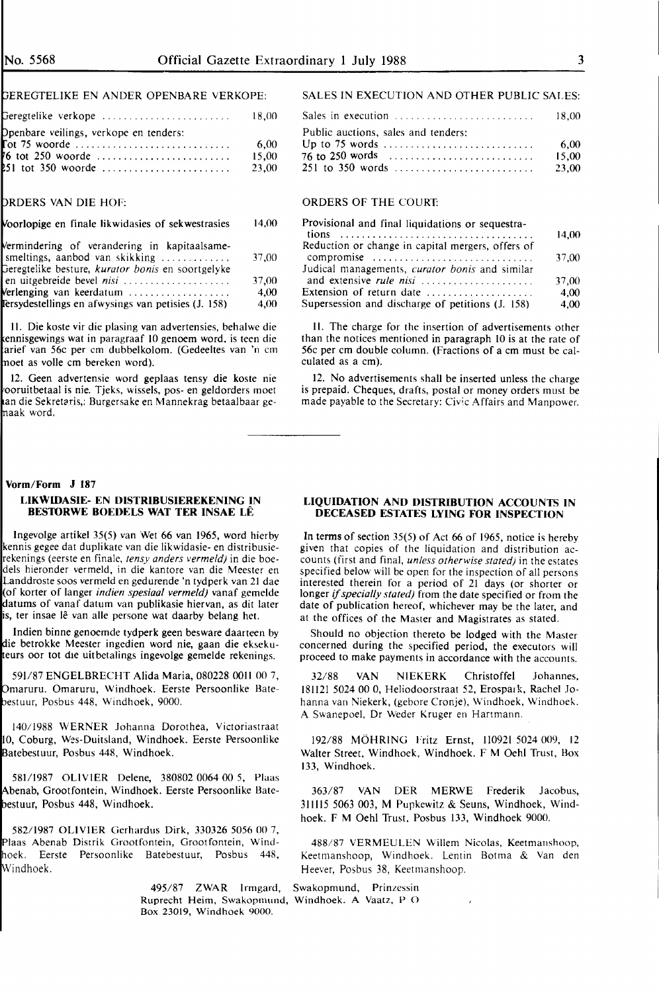### EREGTELIKE EN ANDER OPENBARE VERKOPE:

| $\mathsf{B}$ eregtelike verkope<br>18.00 |
|------------------------------------------|
|                                          |
| 6.00                                     |
| 15.00                                    |
| 23.00                                    |
|                                          |

#### ROERS VAN DIE HOF:

#### oorlopige en finale likwidasies of sekwestrasies 14,00

| Vermindering of verandering in kapitaalsame-             |       |
|----------------------------------------------------------|-------|
| smeltings, aanbod van skikking                           | 37.00 |
| Geregtelike besture, <i>kurator bonis</i> en soortgelyke |       |
| en uitgebreide bevel nisi                                | 37.00 |
| Verlenging van keerdatum                                 | 4.00  |
| Fersydestellings en afwysings van petisies (J. 158)      | 4.00  |

II. Die koste vir die plasing van advertensies, behalwe die ennisgewings wat in paragraaf 10 genoem word. is teen die arief van 56c per cm dubbelkolom. (Gedeeltes van 'n cm noet as volle cm bereken word).

12. Geen advertensie word geplaas tensy die koste nie ooruitbetaal is nie. Tjeks, wissels, pos- en geldorders moet an die Sekretaris,: Burgersake en Mannekrag betaalbaar genaak word.

#### SALES IN EXECUTION AND OTHER PUBLIC SALES:

| Sales in execution $\ldots \ldots \ldots \ldots \ldots \ldots \ldots \ldots \ldots$ 18,00 |       |
|-------------------------------------------------------------------------------------------|-------|
| Public auctions, sales and tenders:                                                       |       |
|                                                                                           | -6.00 |
|                                                                                           | 15.00 |
|                                                                                           | 23.00 |
|                                                                                           |       |

#### ORDERS OF THE COURT:

| Provisional and final liquidations or sequestra-  |       |
|---------------------------------------------------|-------|
|                                                   | 14.00 |
| Reduction or change in capital mergers, offers of |       |
| compromise                                        | 37.00 |
| Judical managements, curator bonis and similar    |       |
| and extensive rule nisi                           | 37,00 |
| Extension of return date                          | 4,00  |
| Supersession and discharge of petitions (J. 158)  | 4,00  |

II. The charge for the insertion of advertisements other than the notices mentioned in paragraph 10 is at the rate of 56c per cm double column. (Fractions of a cm must be calculated as a cm).

12. No advertisements shall be inserted unless the charge is prepaid. Cheques, drafts, postal or money orders must be made payable to the Secretary: Civic Affairs and Manpower.

### **Vorm/Form J 187 LIKWIDASIE- EN DISTRIBUSIEREKENING IN BES10RWE BOEDELS WAT TER INSAE LE**

lngevolge artikel 35(5) van Wet 66 van 1965, word hierby kennis gegee dat duplikate van die likwidasie- en distribusierekenings (eerste en finale, *tensy anders vermeld)* in die boedels hieronder vermeld, in die kantore van die Meester en Landdroste soos vermeld en gedurende 'n tydperk van 21 dae (of korter of langer *indien spesiaal vermeld)* vanaf gemelde atums of vanaf datum van publikasie hiervan, as dit later is, ter insae lê van alle persone wat daarby belang het.

Indien binne genoemde tydperk geen besware daarteen by die betrokke Meester ingedien word nie, gaan die eksekueurs oor tot die uitbetalings ingevolge gemelde rekenings.

591/87 ENGELBRECHT Alida Maria, 080228 OOH 00 7, maruru. Omaruru, Windhoek. Eerste Persoonlike Bateestuur, Posbus 448, Windhoek, 9000.

140/1988 WERNER Johanna Dorothea, Victoriastraat 10, Coburg, Wes-Duitsland, Windhoek. Eerste Persoonlike atebestuur, Posbus 448, Windhoek.

581/1987 OLIVIER Delene, 380802 0064 00 *5,* Plaas benab, Grootfontein, Windhoek. Eerste Persoonlike Batebestuur, Posbus 448, Windhoek.

582/1987 OLIVIER Gerhardus Dirk, 330326 *5056* 00 7, Plaas Abenab Distrik Grootfontein, Grootfontein, Windhoek. Eerste Persoonlike Batebestuur, Posbus 448, Windhoek.

> 495/87 **ZWAR** Irmgard, Swakopmund, Prinzessin Ruprecht Heim, Swakopmund, Windhoek. A Vaatz, P 0 Box 23019, Windhoek 9000.

#### **LIQUIDATION AND DISTRIBUTION ACCOUNTS IN DECEASED ESTATES LYING FOR INSPECTION**

In terms of section 35(5) of Act 66 of 1965, notice is hereby given that copies of the liquidation and distribution accounts (first and final, *unless otherwise stated)* in the estates specified below will be open for the inspection of all persons interested therein for a period of 21 days (or shorter or longer if *specially stated)* from the date specified or from the date of publication hereof, whichever may be the later, and at the offices of the Master and Magistrates as stated.

Should no objection thereto be lodged with the Master concerned during the specified period, the executors will proceed to make payments in accordance with the accounts.

32/88 VAN NIEKERK Christoffel Johannes, 181121 5024 00 0, Heliodoorstraat 52, Erospark, Rachel Johanna van Niekerk, (gebore Cronje), Windhoek, Windhoek. A Swanepoel, Dr Weder Kruger en Hartmann.

192/88 **MOHRING** Fritz Ernst, 110921 5024 009, 12 Walter Street, Windhoek, Windhoek. F M Oehl Trust, Box 133, Windhoek.

363/87 VAN DER MERWE Frederik Jacobus, 311115 5063 003, M Pupkewitz & Seuns, Windhoek, Windhoek. F **M** Oehl Trust, Posbus 133, Windhoek 9000.

488/87 VERMEULEN Willem Nicolas, Keetmanshoop, Keetmanshoop, Windhoek. Lentin Botma & Van den Heever, Posbus 38, Keetmanshoop.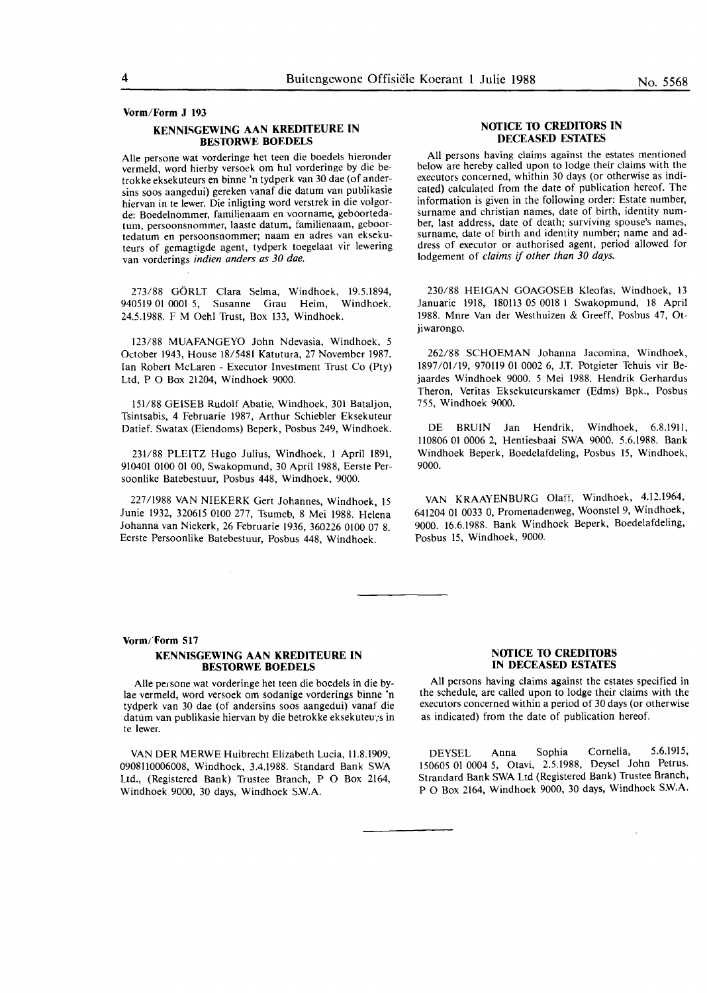#### **Vorm/Form J 193**

#### **KENNISGEWING AAN KREDITEURE IN BESTORWE BOEDELS**

Aile persone wat vorderinge het teen die boedels hieronder vermeld, word hierby versoek om hul vorderinge by die betrokke eksekuteurs **en** binne 'n tydperk van 30 dae (of andersins soos aangedui) gereken vanaf die datum van publikasie hiervan in te lewer. Die inligting word verstrek in die volgorde: Boedelnommer, familienaam en voorname, geboortedatum, persoonsnommer, laaste datum, familienaam, geboortedatum en persoonsnommer; naam **en** adres van eksekuteurs of gemagtigde agent, tydperk toegelaat vir lewering van vorderings *indien anders as 30 dae.* 

273/88 GORLT Clara Selma, Windhoek, 19.5.1894, 940519 01 0001 5, Susanne Grau Heim, Windhoek. 24.5.1988. F **M** Oehl Trust, Box 133, Windhoek.

123/88 MUAFANGEYO John Ndevasia, Windhoek, 5 October 1943, House 18/5481 Katutura, 27 November 1987. Ian Robert McLaren - Executor Investment Trust Co (Pty) Ltd, **P** O Box 21204, Windhoek 9000.

151/88 GEISEB Rudolf Abatie, Windhoek, 301 Bataljon, Tsintsabis, 4 Februarie 1987, Arthur Schiebler Eksekuteur Datief. Swatax (Eiendoms) Beperk, Posbus 249, Windhoek.

231/88 PLEITZ Hugo Julius, Windhoek, 1 April 1891, 910401 0100 01 00, Swakopmund, 30 April 1988, Eerste Persoonlike Batebestuur, Posbus 448, Windhoek, 9000.

227 /1988 VAN NIEKERK Gert Johannes, Windhoek, 15 Junie 1932, 320615 0100 277, Tsumeb, 8 Mei 1988. Helena Johanna van Niekerk, 26 Februarie 1936, 360226 0100 07 8. Eerste Persoonlike Batebestuur, Posbus 448, Windhoek.

#### **NOTICE TO CREDITORS IN DECEASED ESTATES**

All persons having claims against the estates mentioned below are hereby called upon to lodge their claims with the executors concerned, whithin 30 days (or otherwise as indicated) calculated from the date of publication hereof. The information is given in the following order: Estate number, surname **and** christian names, date of birth, identity number, last address, date of death; surviving spouse's names, surname, date of birth and identity number; name and address of executor or authorised agent, period allowed for lodgement of *claims if other than 30 days.* 

230/88 HEIGAN GOAGOSEB Kleofas, Windhoek, 13 Januaric 1918, 180113 05 0018 1 Swakopmund, 18 April 1988. Mnre Van der Westhuizen & Greeff, Posbus 47, Otjiwarongo.

262/88 SCHOEMAN Johanna Jacomina, Windhoek, 1897/01/19, 970119 01 0002 6, J.T. Potgieter Tehuis vir Bejaardes Windhoek 9000. 5 Mei 1988. Hendrik Gerhardus Theron, Veritas Eksekuteurskamer (Edms) Bpk., Posbus 755, Windhoek 9000.

DE BRUIN Jan Hendrik, Windhoek, 6.8.1911, 110806 01 0006 2, Hentiesbaai SWA 9000. 5.6.1988. Bank Windhoek Beperk, Boedelafdeling, Posbus 15, Windhoek, 9000.

VAN KRAAYENBURG Olaff, Windhoek, 4.12.1964, 641204 01 0033 0, Promenadenweg, Woonstel 9, Windhoek, 9000. 16.6.1988. Bank Windhoek Beperk, Boedelafdeling, Posbus 15, Windhoek, 9000.

#### **Vorm/Form 517**

#### **KENNISGEWING AAN KREDITEURE IN BESTORWE BOEDELS**

Alle persone wat vorderinge het teen die boedels in die bylae vermeld, word versoek om sodanige vorderings binne 'n tydperk van 30 dae (of andersins soos aangedui) vanaf die datum van publikasie hiervan by die betrokke eksekuteu·;s in te lewer.

VAN DER MERWE Huibrecht Elizabeth Lucia, 11.8.1909, 0908110006008, Windhoek, 3.4.1988. Standard Bank SWA Ltd., (Registered Bank) Trustee Branch, P O Box 2164, Windhoek 9000, 30 days, Windhoek SW.A.

#### **NOTICE** TO **CREDITORS IN DECEASED ESTATES**

**All** persons having claims against the estates specified in the schedule, are called upon to lodge their claims with the executors concerned within a period of 30 days (or otherwise as indicated) from the date of publication hereof.

DEYSEL Anna Sophia Cornelia, 5.6.1915, 150605 01 0004 5, Otavi, 2.5.1988, Deysel John Petrus. Strandard Bank SWA Ltd (Registered Bank) Trustee Branch, P O Box 2164, Windhoek 9000, 30 days, Windhoek S.W.A.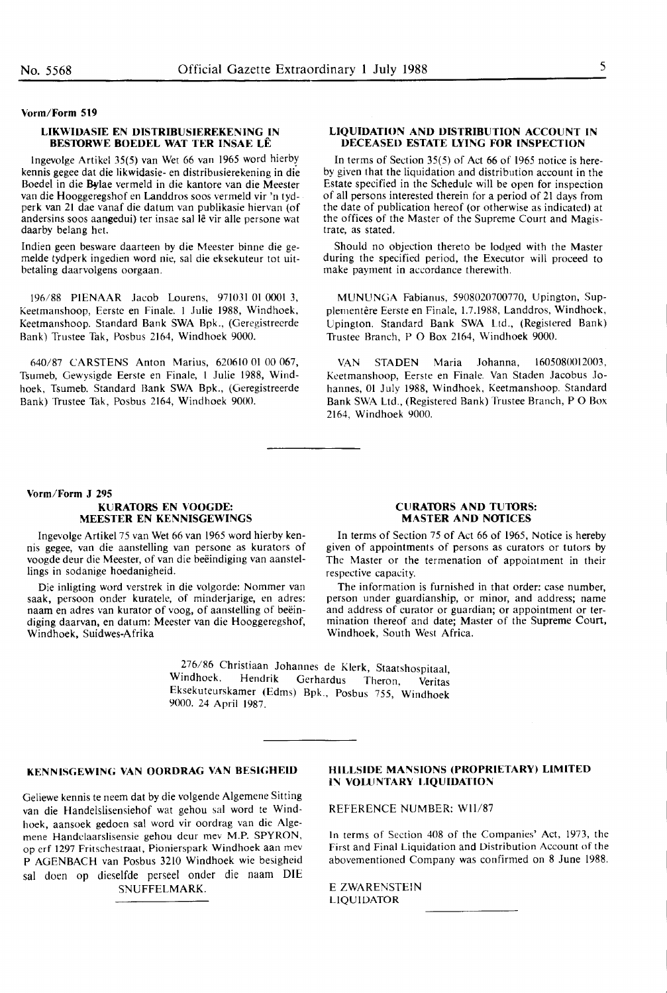#### **Vorm/Form S19**

#### **LIKWIDASIE EN DISTRIBUSIEREKENING IN BESTORWE ROEDEL WAT TER INSAE LE**

lngevolge Artikel 35(5) van Wet 66 van 1965 word hierby kennis gegee dat die likwidasie- en distribusierekening in die Boedel in die Bylae vermeld in die kantore van die Meester van die Hooggeregshof en Landdros soos vermeld vir 'n tydperk van 21 dae vanaf die datum van publikasie hiervan (of andersins soos aangedui) ter insae sal lê vir alle persone wat daarby belang het.

Indien geen besware daarteen by die Meester binne die gemelde tydperk ingedien word nie, sal die eksekuteur tot uitbetaling daarvolgens oorgaan.

196/88 PIENAAR Jacob Lourens, 971031 01 0001 3, Keetmanshoop, Eerste en Finale. I Julie 1988, Windhoek, Keetmanshoop. Standard Bank SWA Bpk., (Geregistreerde Bank) Trustee Tak, Posbus 2164, Windhoek 9000.

640/87 CARSTENS Anton Marius, 620610 01 00 067, Tsumeb, Gewysigde Eerste en Finale, l Julie 1988, Windhoek, Tsumeb. Standard Bank SWA Bpk., (Geregistreerde Bank) Trustee Tak, Posbus 2164, Windhoek 9000.

#### **LIQUIDATION AND DISTRIBUTION ACCOUNT IN DECEASED ESTATE LYING FOR INSPECTION**

In terms of Section 35(5) of Act 66 of 1965 notice is hereby given that the liquidation and distribution account in the Estate specified in the Schedule will be open for inspection of all persons interested therein for a period of 21 days from the date of publication hereof (or otherwise as indicated) at the offices of the Master of the Supreme Court and Magistrate, as stated.

Should no objection thereto be lodged with the Master during the specified period, the Executor will proceed to make payment in accordance therewith.

MUNUNGA Fabianus, 5908020700770, Upington, Supplementêre Eerste en Finale, 1.7.1988, Landdros, Windhoek, Upington. Standard Bank SWA Ltd., (Registered Bank) Trustee Branch, P O Box 2164, Windhoek 9000.

VAN STADEN Maria Johanna, 1605080012003, Keetmanshoop, Eerste en Finale. Van Staden Jacobus Johannes, 01 July 1988, Windhoek, Keetmanshoop. Standard Bank SWA Ltd., (Registered Bank) Trustee Branch, PO Box 2164, Windhoek 9000.

#### **Vorm/Form J 29S KURATORS EN VOOGDE: MEESTER EN KENNISGEWINGS**

Ingevolge Artikel 75 van Wet 66 van 1965 word hierby kennis gegee, van die aanstelling van persone as kurators of voogde deur die Meester, of van die beëindiging van aanstellings in sodanige hoedanigheid.

Die inligting word verstrek in die volgorde: Nommer van saak, persoon onder kuratele, of minderjarige, en adres: naam en adres van kurator of voog, of aanstelling of beëindiging daarvan, en datum: Meester van die Hooggeregshof, Windhoek, Suidwes-Afrika

#### **CURATORS AND TUTORS: MASTER AND NOTICES**

In terms of Section 75 of Act 66 of 1965, Notice is hereby given of appointments of persons as curators or tutors by The Master or the termenation of appointment in their respective capacity.

The information is furnished in that order: case number, person under guardianship, or minor, and address; name and address of curator or guardian; or appointment or termination thereof and date; Master of the Supreme Court, Windhoek, South West Africa.

~76/86 Christiaan Johannes de Klerk, Staatshospitaal, Hendrik Gerhardus Theron, Veritas Eksekuteurskamer (Edms) Bpk., Posbus 755, Windhoek 9000. 24 April 1987.

### **KENNISGEWING VAN OORDRAG VAN BESIGHEID**

Geliewe kennis te neem dat by die volgende Algemene Sitting van die Handelslisensiehof wat gehou sal word te Windhoek, aansoek gedoen sal word vir oordrag van die Algemene Handelaarslisensie gehou deur mev M.P. SPYRON, op erf 1297 Fritschestraat, Pionierspark Windhoek aan mev P AGENBACH van Posbus 3210 Windhoek wie besigheid sal doen op dieselfde perseel onder die naam DIE SNUFFELMARK.

#### **HILLSIDE MANSIONS (PROPRIETARY) LIMITED IN VOLUNTARY LIQUIDATION**

REFERENCE NUMBER: Wll/87

In terms of Section 408 of the Companies' Act, 1973, the First and Final Liquidation and Distribution Account of the abovementioned Company was confirmed on 8 June 1988.

E ZWARENSTEIN LIQUIDATOR